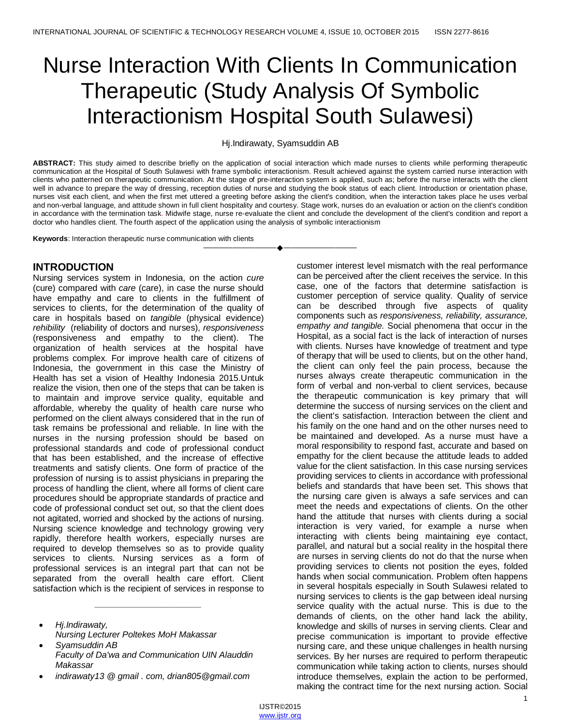# Nurse Interaction With Clients In Communication Therapeutic (Study Analysis Of Symbolic Interactionism Hospital South Sulawesi)

Hj.Indirawaty, Syamsuddin AB

**ABSTRACT:** This study aimed to describe briefly on the application of social interaction which made nurses to clients while performing therapeutic communication at the Hospital of South Sulawesi with frame symbolic interactionism. Result achieved against the system carried nurse interaction with clients who patterned on therapeutic communication. At the stage of pre-interaction system is applied, such as; before the nurse interacts with the client well in advance to prepare the way of dressing, reception duties of nurse and studying the book status of each client. Introduction or orientation phase, nurses visit each client, and when the first met uttered a greeting before asking the client's condition, when the interaction takes place he uses verbal and non-verbal language, and attitude shown in full client hospitality and courtesy. Stage work, nurses do an evaluation or action on the client's condition in accordance with the termination task. Midwife stage, nurse re-evaluate the client and conclude the development of the client's condition and report a doctor who handles client. The fourth aspect of the application using the analysis of symbolic interactionism

————————————————————

**Keywords**: Interaction therapeutic nurse communication with clients

# **INTRODUCTION**

Nursing services system in Indonesia, on the action *cure* (cure) compared with *care* (care), in case the nurse should have empathy and care to clients in the fulfillment of services to clients, for the determination of the quality of care in hospitals based on *tangible* (physical evidence) *rehibility* (reliability of doctors and nurses), *responsiveness* (responsiveness and empathy to the client). The organization of health services at the hospital have problems complex. For improve health care of citizens of Indonesia, the government in this case the Ministry of Health has set a vision of Healthy Indonesia 2015.Untuk realize the vision, then one of the steps that can be taken is to maintain and improve service quality, equitable and affordable, whereby the quality of health care nurse who performed on the client always considered that in the run of task remains be professional and reliable. In line with the nurses in the nursing profession should be based on professional standards and code of professional conduct that has been established, and the increase of effective treatments and satisfy clients. One form of practice of the profession of nursing is to assist physicians in preparing the process of handling the client, where all forms of client care procedures should be appropriate standards of practice and code of professional conduct set out, so that the client does not agitated, worried and shocked by the actions of nursing. Nursing science knowledge and technology growing very rapidly, therefore health workers, especially nurses are required to develop themselves so as to provide quality services to clients. Nursing services as a form of professional services is an integral part that can not be separated from the overall health care effort. Client satisfaction which is the recipient of services in response to

- *Hj.Indirawaty,*
- *Nursing Lecturer Poltekes MoH Makassar Syamsuddin AB*
- *Faculty of Da'wa and Communication UIN Alauddin Makassar*

*\_\_\_\_\_\_\_\_\_\_\_\_\_\_\_\_\_\_\_\_\_\_*

*indirawaty13 @ gmail . com, drian805@gmail.com*

customer interest level mismatch with the real performance can be perceived after the client receives the service. In this case, one of the factors that determine satisfaction is customer perception of service quality. Quality of service can be described through five aspects of quality components such as *responsiveness, reliability, assurance, empathy and tangible.* Social phenomena that occur in the Hospital, as a social fact is the lack of interaction of nurses with clients. Nurses have knowledge of treatment and type of therapy that will be used to clients, but on the other hand, the client can only feel the pain process, because the nurses always create therapeutic communication in the form of verbal and non-verbal to client services, because the therapeutic communication is key primary that will determine the success of nursing services on the client and the client's satisfaction. Interaction between the client and his family on the one hand and on the other nurses need to be maintained and developed. As a nurse must have a moral responsibility to respond fast, accurate and based on empathy for the client because the attitude leads to added value for the client satisfaction. In this case nursing services providing services to clients in accordance with professional beliefs and standards that have been set. This shows that the nursing care given is always a safe services and can meet the needs and expectations of clients. On the other hand the attitude that nurses with clients during a social interaction is very varied, for example a nurse when interacting with clients being maintaining eye contact, parallel, and natural but a social reality in the hospital there are nurses in serving clients do not do that the nurse when providing services to clients not position the eyes, folded hands when social communication. Problem often happens in several hospitals especially in South Sulawesi related to nursing services to clients is the gap between ideal nursing service quality with the actual nurse. This is due to the demands of clients, on the other hand lack the ability, knowledge and skills of nurses in serving clients. Clear and precise communication is important to provide effective nursing care, and these unique challenges in health nursing services. By her nurses are required to perform therapeutic communication while taking action to clients, nurses should introduce themselves, explain the action to be performed, making the contract time for the next nursing action. Social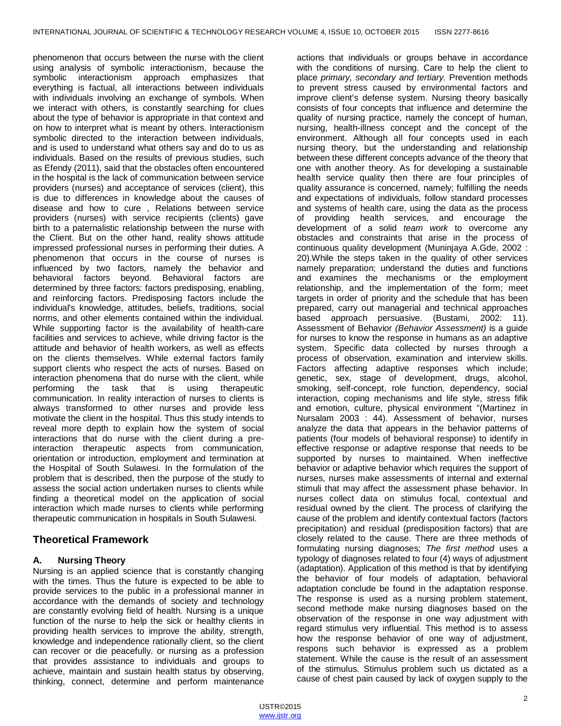phenomenon that occurs between the nurse with the client using analysis of symbolic interactionism, because the symbolic interactionism approach emphasizes that everything is factual, all interactions between individuals with individuals involving an exchange of symbols. When we interact with others, is constantly searching for clues about the type of behavior is appropriate in that context and on how to interpret what is meant by others. Interactionism symbolic directed to the interaction between individuals, and is used to understand what others say and do to us as individuals. Based on the results of previous studies, such as Efendy (2011), said that the obstacles often encountered in the hospital is the lack of communication between service providers (nurses) and acceptance of services (client), this is due to differences in knowledge about the causes of disease and how to cure , Relations between service providers (nurses) with service recipients (clients) gave birth to a paternalistic relationship between the nurse with the Client. But on the other hand, reality shows attitude impressed professional nurses in performing their duties. A phenomenon that occurs in the course of nurses is influenced by two factors, namely the behavior and behavioral factors beyond. Behavioral factors are determined by three factors: factors predisposing, enabling, and reinforcing factors. Predisposing factors include the individual's knowledge, attitudes, beliefs, traditions, social norms, and other elements contained within the individual. While supporting factor is the availability of health-care facilities and services to achieve, while driving factor is the attitude and behavior of health workers, as well as effects on the clients themselves. While external factors family support clients who respect the acts of nurses. Based on interaction phenomena that do nurse with the client, while performing the task that is using therapeutic communication. In reality interaction of nurses to clients is always transformed to other nurses and provide less motivate the client in the hospital. Thus this study intends to reveal more depth to explain how the system of social interactions that do nurse with the client during a preinteraction therapeutic aspects from communication, orientation or introduction, employment and termination at the Hospital of South Sulawesi. In the formulation of the problem that is described, then the purpose of the study to assess the social action undertaken nurses to clients while finding a theoretical model on the application of social interaction which made nurses to clients while performing therapeutic communication in hospitals in South Sulawesi.

# **Theoretical Framework**

# **A. Nursing Theory**

Nursing is an applied science that is constantly changing with the times. Thus the future is expected to be able to provide services to the public in a professional manner in accordance with the demands of society and technology are constantly evolving field of health. Nursing is a unique function of the nurse to help the sick or healthy clients in providing health services to improve the ability, strength, knowledge and independence rationally client, so the client can recover or die peacefully. or nursing as a profession that provides assistance to individuals and groups to achieve, maintain and sustain health status by observing, thinking, connect, determine and perform maintenance actions that individuals or groups behave in accordance with the conditions of nursing. Care to help the client to place *primary, secondary and tertiary.* Prevention methods to prevent stress caused by environmental factors and improve client's defense system. Nursing theory basically consists of four concepts that influence and determine the quality of nursing practice, namely the concept of human, nursing, health-illness concept and the concept of the environment. Although all four concepts used in each nursing theory, but the understanding and relationship between these different concepts advance of the theory that one with another theory. As for developing a sustainable health service quality then there are four principles of quality assurance is concerned, namely; fulfilling the needs and expectations of individuals, follow standard processes and systems of health care, using the data as the process of providing health services, and encourage the development of a solid *team work* to overcome any obstacles and constraints that arise in the process of continuous quality development (Muninjaya A.Gde, 2002 : 20).While the steps taken in the quality of other services namely preparation; understand the duties and functions and examines the mechanisms or the employment relationship, and the implementation of the form; meet targets in order of priority and the schedule that has been prepared, carry out managerial and technical approaches based approach persuasive. (Bustami, 2002: 11). Assessment of Behavior *(Behavior Assessment)* is a guide for nurses to know the response in humans as an adaptive system. Specific data collected by nurses through a process of observation, examination and interview skills. Factors affecting adaptive responses which include; genetic, sex, stage of development, drugs, alcohol, smoking, self-concept, role function, dependency, social interaction, coping mechanisms and life style, stress fifik and emotion, culture, physical environment "(Martinez in Nursalam 2003 : 44). Assessment of behavior, nurses analyze the data that appears in the behavior patterns of patients (four models of behavioral response) to identify in effective response or adaptive response that needs to be supported by nurses to maintained. When ineffective behavior or adaptive behavior which requires the support of nurses, nurses make assessments of internal and external stimuli that may affect the assessment phase behavior. In nurses collect data on stimulus focal, contextual and residual owned by the client. The process of clarifying the cause of the problem and identify contextual factors (factors precipitation) and residual (predisposition factors) that are closely related to the cause. There are three methods of formulating nursing diagnoses; *The first method* uses a typology of diagnoses related to four (4) ways of adjustment (adaptation). Application of this method is that by identifying the behavior of four models of adaptation, behavioral adaptation conclude be found in the adaptation response. The response is used as a nursing problem statement, second methode make nursing diagnoses based on the observation of the response in one way adjustment with regard stimulus very influential. This method is to assess how the response behavior of one way of adjustment, respons such behavior is expressed as a problem statement. While the cause is the result of an assessment of the stimulus. Stimulus problem such us dictated as a cause of chest pain caused by lack of oxygen supply to the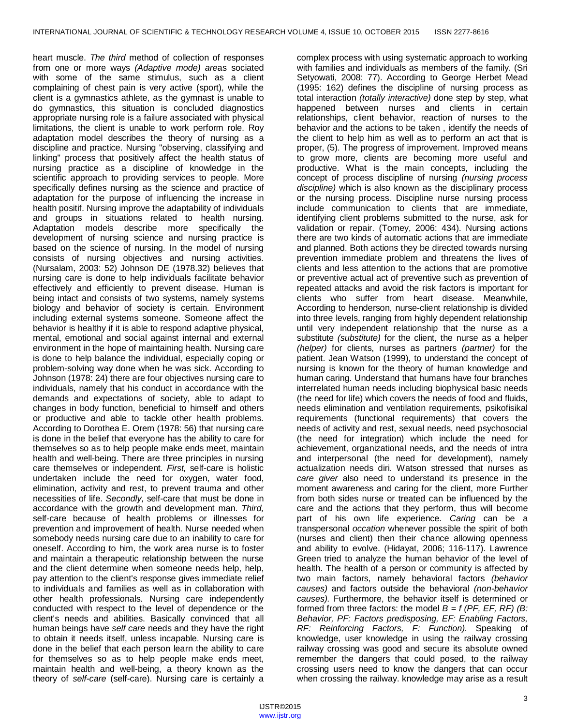heart muscle. *The third* method of collection of responses from one or more ways *(Adaptive mode) are*as sociated with some of the same stimulus, such as a client complaining of chest pain is very active (sport), while the client is a gymnastics athlete, as the gymnast is unable to do gymnastics, this situation is concluded diagnostics appropriate nursing role is a failure associated with physical limitations, the client is unable to work perform role. Roy adaptation model describes the theory of nursing as a discipline and practice. Nursing "observing, classifying and linking" process that positively affect the health status of nursing practice as a discipline of knowledge in the scientific approach to providing services to people. More specifically defines nursing as the science and practice of adaptation for the purpose of influencing the increase in health positif. Nursing improve the adaptability of individuals and groups in situations related to health nursing. Adaptation models describe more specifically the development of nursing science and nursing practice is based on the science of nursing. In the model of nursing consists of nursing objectives and nursing activities. (Nursalam, 2003: 52) Johnson DE (1978.32) believes that nursing care is done to help individuals facilitate behavior effectively and efficiently to prevent disease. Human is being intact and consists of two systems, namely systems biology and behavior of society is certain. Environment including external systems someone. Someone affect the behavior is healthy if it is able to respond adaptive physical, mental, emotional and social against internal and external environment in the hope of maintaining health. Nursing care is done to help balance the individual, especially coping or problem-solving way done when he was sick. According to Johnson (1978: 24) there are four objectives nursing care to individuals, namely that his conduct in accordance with the demands and expectations of society, able to adapt to changes in body function, beneficial to himself and others or productive and able to tackle other health problems. According to Dorothea E. Orem (1978: 56) that nursing care is done in the belief that everyone has the ability to care for themselves so as to help people make ends meet, maintain health and well-being. There are three principles in nursing care themselves or independent. *First,* self-care is holistic undertaken include the need for oxygen, water food, elimination, activity and rest, to prevent trauma and other necessities of life. *Secondly,* self-care that must be done in accordance with the growth and development man. *Third,* self-care because of health problems or illnesses for prevention and improvement of health. Nurse needed when somebody needs nursing care due to an inability to care for oneself. According to him, the work area nurse is to foster and maintain a therapeutic relationship between the nurse and the client determine when someone needs help, help, pay attention to the client's response gives immediate relief to individuals and families as well as in collaboration with other health professionals. Nursing care independently conducted with respect to the level of dependence or the client's needs and abilities. Basically convinced that all human beings have *self care* needs and they have the right to obtain it needs itself, unless incapable. Nursing care is done in the belief that each person learn the ability to care for themselves so as to help people make ends meet, maintain health and well-being, a theory known as the theory of *self-care* (self-care). Nursing care is certainly a

complex process with using systematic approach to working with families and individuals as members of the family. (Sri Setyowati, 2008: 77). According to George Herbet Mead (1995: 162) defines the discipline of nursing process as total interaction *(totally interactive)* done step by step, what happened between nurses and clients in certain relationships, client behavior, reaction of nurses to the behavior and the actions to be taken , identify the needs of the client to help him as well as to perform an act that is proper, (5). The progress of improvement. Improved means to grow more, clients are becoming more useful and productive. What is the main concepts, including the concept of process discipline of nursing *(nursing process discipline)* which is also known as the disciplinary process or the nursing process. Discipline nurse nursing process include communication to clients that are immediate, identifying client problems submitted to the nurse, ask for validation or repair. (Tomey, 2006: 434). Nursing actions there are two kinds of automatic actions that are immediate and planned. Both actions they be directed towards nursing prevention immediate problem and threatens the lives of clients and less attention to the actions that are promotive or preventive actual act of preventive such as prevention of repeated attacks and avoid the risk factors is important for clients who suffer from heart disease. Meanwhile, According to henderson, nurse-client relationship is divided into three levels, ranging from highly dependent relationship until very independent relationship that the nurse as a substitute *(substitute)* for the client, the nurse as a helper *(helper)* for clients, nurses as partners *(partner)* for the patient. Jean Watson (1999), to understand the concept of nursing is known for the theory of human knowledge and human caring. Understand that humans have four branches interrelated human needs including biophysical basic needs (the need for life) which covers the needs of food and fluids, needs elimination and ventilation requirements, psikofisikal requirements (functional requirements) that covers the needs of activity and rest, sexual needs, need psychosocial (the need for integration) which include the need for achievement, organizational needs, and the needs of intra and interpersonal (the need for development), namely actualization needs diri. Watson stressed that nurses as *care giver* also need to understand its presence in the moment awareness and caring for the client, more Further from both sides nurse or treated can be influenced by the care and the actions that they perform, thus will become part of his own life experience. *Caring* can be a transpersonal *occation* whenever possible the spirit of both (nurses and client) then their chance allowing openness and ability to evolve. (Hidayat, 2006; 116-117). Lawrence Green tried to analyze the human behavior of the level of health. The health of a person or community is affected by two main factors, namely behavioral factors *(behavior causes)* and factors outside the behavioral *(non-behavior causes).* Furthermore, the behavior itself is determined or formed from three factors: the model  $B = f(PF, EF, RF)$  (B: *Behavior, PF: Factors predisposing, EF: Enabling Factors, RF: Reinforcing Factors, F: Function).* Speaking of knowledge, user knowledge in using the railway crossing railway crossing was good and secure its absolute owned remember the dangers that could posed, to the railway crossing users need to know the dangers that can occur when crossing the railway. knowledge may arise as a result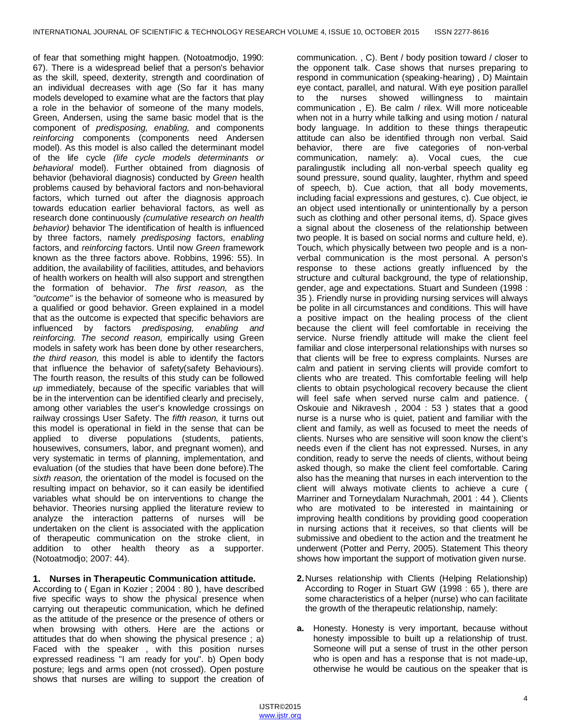of fear that something might happen. (Notoatmodjo, 1990: 67). There is a widespread belief that a person's behavior as the skill, speed, dexterity, strength and coordination of an individual decreases with age (So far it has many models developed to examine what are the factors that play a role in the behavior of someone of the many models, Green, Andersen, using the same basic model that is the component of *predisposing, enabling,* and components *reinforcing* components (components need Andersen model). As this model is also called the determinant model of the life cycle *(life cycle models determinants or behavioral* model). Further obtained from diagnosis of behavior (behavioral diagnosis) conducted by *Green* health problems caused by behavioral factors and non-behavioral factors, which turned out after the diagnosis approach towards education earlier behavioral factors, as well as research done continuously *(cumulative research on health behavior)* behavior The identification of health is influenced by three factors, namely *predisposing* factors, *enabling* factors, and *reinforcing* factors. Until now *Green* framework known as the three factors above. Robbins, 1996: 55). In addition, the availability of facilities, attitudes, and behaviors of health workers on health will also support and strengthen the formation of behavior. *The first reason,* as the *"outcome"* is the behavior of someone who is measured by a qualified or good behavior. Green explained in a model that as the outcome is expected that specific behaviors are influenced by factors *predisposing, enabling and reinforcing. The second reason,* empirically using Green models in safety work has been done by other researchers, *the third reason,* this model is able to identify the factors that influence the behavior of safety(safety Behaviours). The fourth reason, the results of this study can be followed *up* immediately, because of the specific variables that will be in the intervention can be identified clearly and precisely, among other variables the user's knowledge crossings on railway [crossings](https://translate.google.com/translate?hl=id&prev=_t&sl=id&tl=en&u=http://momonsohse.blogspot.com/2009/09/problems-of-safety-on-indonesian-rail.html) User Safety. The *fifth reason,* it turns out this model is operational in field in the sense that can be applied to diverse populations (students, patients, housewives, consumers, labor, and pregnant women), and very systematic in terms of planning, implementation, and evaluation (of the studies that have been done before).The *sixth reason,* the orientation of the model is focused on the resulting impact on behavior, so it can easily be identified variables what should be on interventions to change the behavior. Theories nursing applied the literature review to analyze the interaction patterns of nurses will be undertaken on the client is associated with the application of therapeutic communication on the stroke client, in addition to other health theory as a supporter. (Notoatmodjo; 2007: 44).

#### **1. Nurses in Therapeutic Communication attitude.**

According to ( Egan in Kozier ; 2004 : 80 ), have described five specific ways to show the physical presence when carrying out therapeutic communication, which he defined as the attitude of the presence or the presence of others or when browsing with others. Here are the actions or attitudes that do when showing the physical presence ; a) Faced with the speaker , with this position nurses expressed readiness "I am ready for you". b) Open body posture; legs and arms open (not crossed). Open posture shows that nurses are willing to support the creation of

communication. , C). Bent / body position toward / closer to the opponent talk. Case shows that nurses preparing to respond in communication (speaking-hearing) , D) Maintain eye contact, parallel, and natural. With eye position parallel to the nurses showed willingness to maintain communication , E). Be calm / rilex. Will more noticeable when not in a hurry while talking and using motion / natural body language. In addition to these things therapeutic attitude can also be identified through non verbal. Said behavior, there are five categories of non-verbal communication, namely: a). Vocal cues, the cue paralingustik including all non-verbal speech quality eg sound pressure, sound quality, laughter, rhythm and speed of speech, b). Cue action, that all body movements, including facial expressions and gestures, c). Cue object, ie an object used intentionally or unintentionally by a person such as clothing and other personal items, d). Space gives a signal about the closeness of the relationship between two people. It is based on social norms and culture held, e). Touch, which physically between two people and is a nonverbal communication is the most personal. A person's response to these actions greatly influenced by the structure and cultural background, the type of relationship, gender, age and expectations. Stuart and Sundeen (1998 : 35 ). Friendly nurse in providing nursing services will always be polite in all circumstances and conditions. This will have a positive impact on the healing process of the client because the client will feel comfortable in receiving the service. Nurse friendly attitude will make the client feel familiar and close interpersonal relationships with nurses so that clients will be free to express complaints. Nurses are calm and patient in serving clients will provide comfort to clients who are treated. This comfortable feeling will help clients to obtain psychological recovery because the client will feel safe when served nurse calm and patience. ( Oskouie and Nikravesh , 2004 : 53 ) states that a good nurse is a nurse who is quiet, patient and familiar with the client and family, as well as focused to meet the needs of clients. Nurses who are sensitive will soon know the client's needs even if the client has not expressed. Nurses, in any condition, ready to serve the needs of clients, without being asked though, so make the client feel comfortable. Caring also has the meaning that nurses in each intervention to the client will always motivate clients to achieve a cure ( Marriner and Torneydalam Nurachmah, 2001 : 44 ). Clients who are motivated to be interested in maintaining or improving health conditions by providing good cooperation in nursing actions that it receives, so that clients will be submissive and obedient to the action and the treatment he underwent (Potter and Perry, 2005). Statement This theory shows how important the support of motivation given nurse.

- **2.**Nurses relationship with Clients (Helping Relationship) According to Roger in Stuart GW (1998 : 65 ), there are some characteristics of a helper (nurse) who can facilitate the growth of the therapeutic relationship, namely:
- **a.** Honesty. Honesty is very important, because without honesty impossible to built up a relationship of trust. Someone will put a sense of trust in the other person who is open and has a response that is not made-up, otherwise he would be cautious on the speaker that is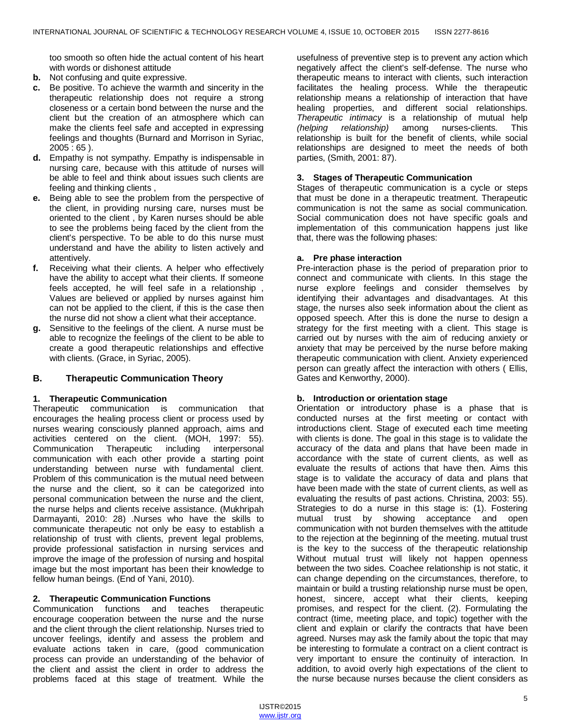too smooth so often hide the actual content of his heart with words or dishonest attitude

- **b.** Not confusing and quite expressive.
- **c.** Be positive. To achieve the warmth and sincerity in the therapeutic relationship does not require a strong closeness or a certain bond between the nurse and the client but the creation of an atmosphere which can make the clients feel safe and accepted in expressing feelings and thoughts (Burnard and Morrison in Syriac,  $2005:65$ ).
- **d.** Empathy is not sympathy. Empathy is indispensable in nursing care, because with this attitude of nurses will be able to feel and think about issues such clients are feeling and thinking clients ,
- **e.** Being able to see the problem from the perspective of the client, in providing nursing care, nurses must be oriented to the client , by Karen nurses should be able to see the problems being faced by the client from the client's perspective. To be able to do this nurse must understand and have the ability to listen actively and attentively.
- **f.** Receiving what their clients. A helper who effectively have the ability to accept what their clients. If someone feels accepted, he will feel safe in a relationship , Values are believed or applied by nurses against him can not be applied to the client, if this is the case then the nurse did not show a client what their acceptance.
- **g.** Sensitive to the feelings of the client. A nurse must be able to recognize the feelings of the client to be able to create a good therapeutic relationships and effective with clients. (Grace, in Syriac, 2005).

## **B. Therapeutic Communication Theory**

## **1. Therapeutic Communication**

Therapeutic communication is communication that encourages the healing process client or process used by nurses wearing consciously planned approach, aims and activities centered on the client. (MOH, 1997: 55). Communication Therapeutic including interpersonal communication with each other provide a starting point understanding between nurse with fundamental client. Problem of this communication is the mutual need between the nurse and the client, so it can be categorized into personal communication between the nurse and the client, the nurse helps and clients receive assistance. (Mukhripah Darmayanti, 2010: 28) .Nurses who have the skills to communicate therapeutic not only be easy to establish a relationship of trust with clients, prevent legal problems, provide professional satisfaction in nursing services and improve the image of the profession of nursing and hospital image but the most important has been their knowledge to fellow human beings. (End of Yani, 2010).

## **2. Therapeutic Communication Functions**

Communication functions and teaches therapeutic encourage cooperation between the nurse and the nurse and the client through the client relationship. Nurses tried to uncover feelings, identify and assess the problem and evaluate actions taken in care, (good communication process can provide an understanding of the behavior of the client and assist the client in order to address the problems faced at this stage of treatment. While the

usefulness of preventive step is to prevent any action which negatively affect the client's self-defense. The nurse who therapeutic means to interact with clients, such interaction facilitates the healing process. While the therapeutic relationship means a relationship of interaction that have healing properties, and different social relationships. *Therapeutic intimacy* is a relationship of mutual help *(helping relationship)* among nurses-clients. This relationship is built for the benefit of clients, while social relationships are designed to meet the needs of both parties, (Smith, 2001: 87).

#### **3. Stages of Therapeutic Communication**

Stages of therapeutic communication is a cycle or steps that must be done in a therapeutic treatment. Therapeutic communication is not the same as social communication. Social communication does not have specific goals and implementation of this communication happens just like that, there was the following phases:

#### **a. Pre phase interaction**

Pre-interaction phase is the period of preparation prior to connect and communicate with clients. In this stage the nurse explore feelings and consider themselves by identifying their advantages and disadvantages. At this stage, the nurses also seek information about the client as opposed speech. After this is done the nurse to design a strategy for the first meeting with a client. This stage is carried out by nurses with the aim of reducing anxiety or anxiety that may be perceived by the nurse before making therapeutic communication with client. Anxiety experienced person can greatly affect the interaction with others ( Ellis, Gates and Kenworthy, 2000).

## **b. Introduction or orientation stage**

Orientation or introductory phase is a phase that is conducted nurses at the first meeting or contact with introductions client. Stage of executed each time meeting with clients is done. The goal in this stage is to validate the accuracy of the data and plans that have been made in accordance with the state of current clients, as well as evaluate the results of actions that have then. Aims this stage is to validate the accuracy of data and plans that have been made with the state of current clients, as well as evaluating the results of past actions. Christina, 2003: 55). Strategies to do a nurse in this stage is: (1). Fostering mutual trust by showing acceptance and open communication with not burden themselves with the attitude to the rejection at the beginning of the meeting. mutual trust is the key to the success of the therapeutic relationship Without mutual trust will likely not happen openness between the two sides. Coachee relationship is not static, it can change depending on the circumstances, therefore, to maintain or build a trusting relationship nurse must be open, honest, sincere, accept what their clients, keeping promises, and respect for the client. (2). Formulating the contract (time, meeting place, and topic) together with the client and explain or clarify the contracts that have been agreed. Nurses may ask the family about the topic that may be interesting to formulate a contract on a client contract is very important to ensure the continuity of interaction. In addition, to avoid overly high expectations of the client to the nurse because nurses because the client considers as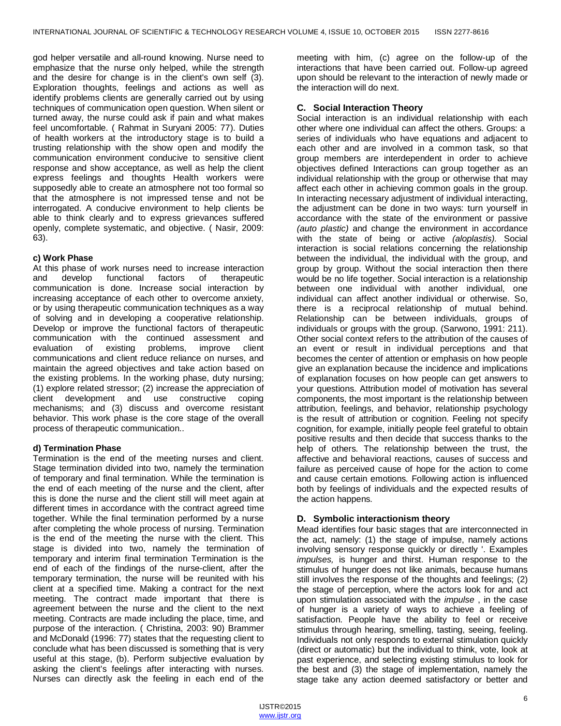god helper versatile and all-round knowing. Nurse need to emphasize that the nurse only helped, while the strength and the desire for change is in the client's own self (3). Exploration thoughts, feelings and actions as well as identify problems clients are generally carried out by using techniques of communication open question. When silent or turned away, the nurse could ask if pain and what makes feel uncomfortable. ( Rahmat in Suryani 2005: 77). Duties of health workers at the introductory stage is to build a trusting relationship with the show open and modify the communication environment conducive to sensitive client response and show acceptance, as well as help the client express feelings and thoughts Health workers were supposedly able to create an atmosphere not too formal so that the atmosphere is not impressed tense and not be interrogated. A conducive environment to help clients be able to think clearly and to express grievances suffered openly, complete systematic, and objective. ( Nasir, 2009: 63).

#### **c) Work Phase**

At this phase of work nurses need to increase interaction and develop functional factors of therapeutic communication is done. Increase social interaction by increasing acceptance of each other to overcome anxiety, or by using therapeutic communication techniques as a way of solving and in developing a cooperative relationship. Develop or improve the functional factors of therapeutic communication with the continued assessment and evaluation of existing problems, improve client communications and client reduce reliance on nurses, and maintain the agreed objectives and take action based on the existing problems. In the working phase, duty nursing; (1) explore related stressor; (2) increase the appreciation of client development and use constructive coping mechanisms; and (3) discuss and overcome resistant behavior. This work phase is the core stage of the overall process of therapeutic communication..

## **d) Termination Phase**

Termination is the end of the meeting nurses and client. Stage termination divided into two, namely the termination of temporary and final termination. While the termination is the end of each meeting of the nurse and the client, after this is done the nurse and the client still will meet again at different times in accordance with the contract agreed time together. While the final termination performed by a nurse after completing the whole process of nursing. Termination is the end of the meeting the nurse with the client. This stage is divided into two, namely the termination of temporary and interim final termination Termination is the end of each of the findings of the nurse-client, after the temporary termination, the nurse will be reunited with his client at a specified time. Making a contract for the next meeting. The contract made important that there is agreement between the nurse and the client to the next meeting. Contracts are made including the place, time, and purpose of the interaction. ( Christina, 2003: 90) Brammer and McDonald (1996: 77) states that the requesting client to conclude what has been discussed is something that is very useful at this stage, (b). Perform subjective evaluation by asking the client's feelings after interacting with nurses. Nurses can directly ask the feeling in each end of the

meeting with him, (c) agree on the follow-up of the interactions that have been carried out. Follow-up agreed upon should be relevant to the interaction of newly made or the interaction will do next.

## **C. Social Interaction Theory**

Social interaction is an individual relationship with each other where one individual can affect the others. Groups: a series of individuals who have equations and adjacent to each other and are involved in a common task, so that group members are interdependent in order to achieve objectives defined Interactions can group together as an individual relationship with the group or otherwise that may affect each other in achieving common goals in the group. In interacting necessary adjustment of individual interacting, the adjustment can be done in two ways: turn yourself in accordance with the state of the environment or passive *(auto plastic)* and change the environment in accordance with the state of being or active *(aloplastis).* Social interaction is social relations concerning the relationship between the individual, the individual with the group, and group by group. Without the social interaction then there would be no life together. Social interaction is a relationship between one individual with another individual, one individual can affect another individual or otherwise. So, there is a reciprocal relationship of mutual behind. Relationship can be between individuals, groups of individuals or groups with the group. (Sarwono, 1991: 211). Other social context refers to the attribution of the causes of an event or result in individual perceptions and that becomes the center of attention or emphasis on how people give an explanation because the incidence and implications of explanation focuses on how people can get answers to your questions. Attribution model of motivation has several components, the most important is the relationship between attribution, feelings, and behavior, relationship psychology is the result of attribution or cognition. Feeling not specify cognition, for example, initially people feel grateful to obtain positive results and then decide that success thanks to the help of others. The relationship between the trust, the affective and behavioral reactions, causes of success and failure as perceived cause of hope for the action to come and cause certain emotions. Following action is influenced both by feelings of individuals and the expected results of the action happens.

## **D. Symbolic interactionism theory**

Mead identifies four basic stages that are interconnected in the act, namely: (1) the stage of impulse, namely actions involving sensory response quickly or directly '. Examples *impulses,* is hunger and thirst. Human response to the stimulus of hunger does not like animals, because humans still involves the response of the thoughts and feelings; (2) the stage of perception, where the actors look for and act upon stimulation associated with the *impulse* , in the case of hunger is a variety of ways to achieve a feeling of satisfaction. People have the ability to feel or receive stimulus through hearing, smelling, tasting, seeing, feeling. Individuals not only responds to external stimulation quickly (direct or automatic) but the individual to think, vote, look at past experience, and selecting existing stimulus to look for the best and (3) the stage of implementation, namely the stage take any action deemed satisfactory or better and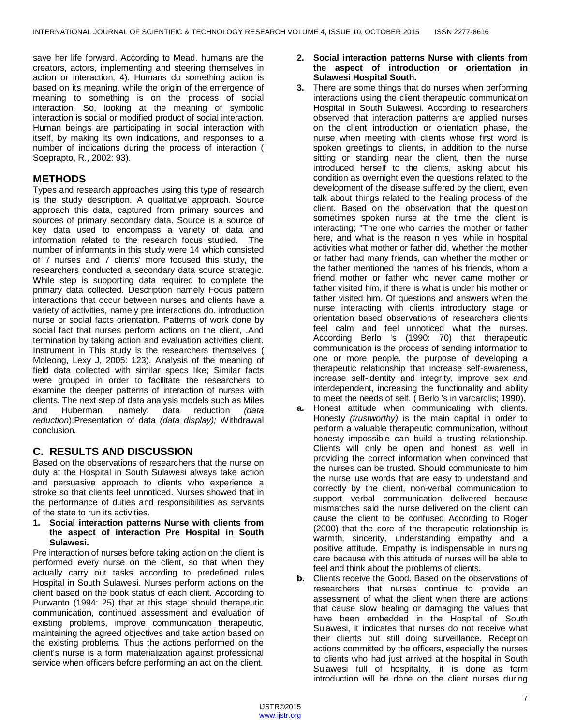save her life forward. According to Mead, humans are the creators, actors, implementing and steering themselves in action or interaction, 4). Humans do something action is based on its meaning, while the origin of the emergence of meaning to something is on the process of social interaction. So, looking at the meaning of symbolic interaction is social or modified product of social interaction. Human beings are participating in social interaction with itself, by making its own indications, and responses to a number of indications during the process of interaction ( Soeprapto, R., 2002: 93).

# **METHODS**

Types and research approaches using this type of research is the study description. A qualitative approach. Source approach this data, captured from primary sources and sources of primary secondary data. Source is a source of key data used to encompass a variety of data and information related to the research focus studied. The number of informants in this study were 14 which consisted of 7 nurses and 7 clients' more focused this study, the researchers conducted a secondary data source strategic. While step is supporting data required to complete the primary data collected. Description namely Focus pattern interactions that occur between nurses and clients have a variety of activities, namely pre interactions do. introduction nurse or social facts orientation. Patterns of work done by social fact that nurses perform actions on the client, .And termination by taking action and evaluation activities client. Instrument in This study is the researchers themselves ( Moleong, Lexy J, 2005: 123). Analysis of the meaning of field data collected with similar specs like; Similar facts were grouped in order to facilitate the researchers to examine the deeper patterns of interaction of nurses with clients. The next step of data analysis models such as Miles<br>and Huberman, namely: data reduction (data and Huberman, namely: data reduction *(data reduction*);Presentation of data *(data display);* Withdrawal conclusion.

# **C. RESULTS AND DISCUSSION**

Based on the observations of researchers that the nurse on duty at the Hospital in South Sulawesi always take action and persuasive approach to clients who experience a stroke so that clients feel unnoticed. Nurses showed that in the performance of duties and responsibilities as servants of the state to run its activities.

**1. Social interaction patterns Nurse with clients from the aspect of interaction Pre Hospital in South Sulawesi.**

Pre interaction of nurses before taking action on the client is performed every nurse on the client, so that when they actually carry out tasks according to predefined rules Hospital in South Sulawesi. Nurses perform actions on the client based on the book status of each client. According to Purwanto (1994: 25) that at this stage should therapeutic communication, continued assessment and evaluation of existing problems, improve communication therapeutic, maintaining the agreed objectives and take action based on the existing problems. Thus the actions performed on the client's nurse is a form materialization against professional service when officers before performing an act on the client.

- **2. Social interaction patterns Nurse with clients from the aspect of introduction or orientation in Sulawesi Hospital South.**
- **3.** There are some things that do nurses when performing interactions using the client therapeutic communication Hospital in South Sulawesi. According to researchers observed that interaction patterns are applied nurses on the client introduction or orientation phase, the nurse when meeting with clients whose first word is spoken greetings to clients, in addition to the nurse sitting or standing near the client, then the nurse introduced herself to the clients, asking about his condition as overnight even the questions related to the development of the disease suffered by the client, even talk about things related to the healing process of the client. Based on the observation that the question sometimes spoken nurse at the time the client is interacting; "The one who carries the mother or father here, and what is the reason n yes, while in hospital activities what mother or father did, whether the mother or father had many friends, can whether the mother or the father mentioned the names of his friends, whom a friend mother or father who never came mother or father visited him, if there is what is under his mother or father visited him. Of questions and answers when the nurse interacting with clients introductory stage or orientation based observations of researchers clients feel calm and feel unnoticed what the nurses. According Berlo 's (1990: 70) that therapeutic communication is the process of sending information to one or more people. the purpose of developing a therapeutic relationship that increase self-awareness, increase self-identity and integrity, improve sex and interdependent, increasing the functionality and ability to meet the needs of self. ( Berlo 's in varcarolis; 1990).
- **a.** Honest attitude when communicating with clients. Honesty *(trustworthy)* is the main capital in order to perform a valuable therapeutic communication, without honesty impossible can build a trusting relationship. Clients will only be open and honest as well in providing the correct information when convinced that the nurses can be trusted. Should communicate to him the nurse use words that are easy to understand and correctly by the client, non-verbal communication to support verbal communication delivered because mismatches said the nurse delivered on the client can cause the client to be confused According to Roger (2000) that the core of the therapeutic relationship is warmth, sincerity, understanding empathy and a positive attitude. Empathy is indispensable in nursing care because with this attitude of nurses will be able to feel and think about the problems of clients.
- **b.** Clients receive the Good. Based on the observations of researchers that nurses continue to provide an assessment of what the client when there are actions that cause slow healing or damaging the values that have been embedded in the Hospital of South Sulawesi, it indicates that nurses do not receive what their clients but still doing surveillance. Reception actions committed by the officers, especially the nurses to clients who had just arrived at the hospital in South Sulawesi full of hospitality, it is done as form introduction will be done on the client nurses during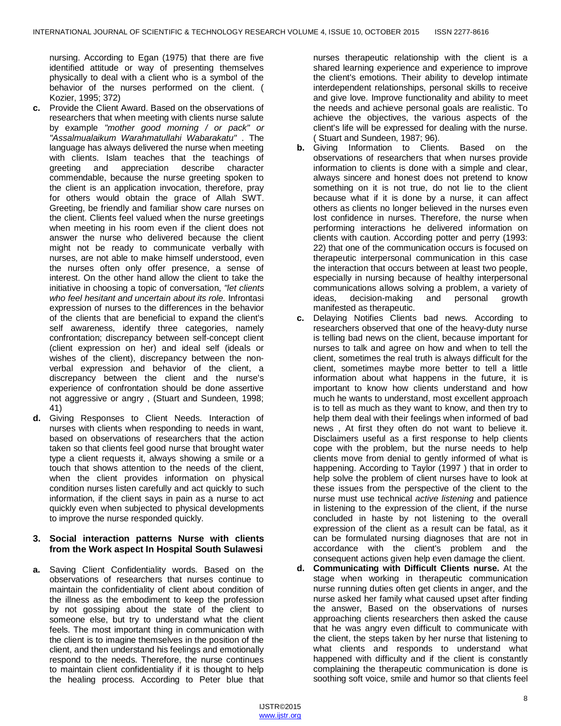nursing. According to Egan (1975) that there are five identified attitude or way of presenting themselves physically to deal with a client who is a symbol of the behavior of the nurses performed on the client. ( Kozier, 1995; 372)

- **c.** Provide the Client Award. Based on the observations of researchers that when meeting with clients nurse salute by example *"mother good morning / or pack" or "Assalmualaikum Warahmatullahi Wabarakatu"* . The language has always delivered the nurse when meeting with clients. Islam teaches that the teachings of greeting and appreciation describe character commendable, because the nurse greeting spoken to the client is an application invocation, therefore, pray for others would obtain the grace of Allah SWT. Greeting, be friendly and familiar show care nurses on the client. Clients feel valued when the nurse greetings when meeting in his room even if the client does not answer the nurse who delivered because the client might not be ready to communicate verbally with nurses, are not able to make himself understood, even the nurses often only offer presence, a sense of interest. On the other hand allow the client to take the initiative in choosing a topic of conversation, *"let clients who feel hesitant and uncertain about its role.* Infrontasi expression of nurses to the differences in the behavior of the clients that are beneficial to expand the client's self awareness, identify three categories, namely confrontation; discrepancy between self-concept client (client expression on her) and ideal self (ideals or wishes of the client), discrepancy between the nonverbal expression and behavior of the client, a discrepancy between the client and the nurse's experience of confrontation should be done assertive not aggressive or angry , (Stuart and Sundeen, 1998; 41)
- **d.** Giving Responses to Client Needs. Interaction of nurses with clients when responding to needs in want, based on observations of researchers that the action taken so that clients feel good nurse that brought water type a client requests it, always showing a smile or a touch that shows attention to the needs of the client, when the client provides information on physical condition nurses listen carefully and act quickly to such information, if the client says in pain as a nurse to act quickly even when subjected to physical developments to improve the nurse responded quickly.

## **3. Social interaction patterns Nurse with clients from the Work aspect In Hospital South Sulawesi**

**a.** Saving Client Confidentiality words. Based on the observations of researchers that nurses continue to maintain the confidentiality of client about condition of the illness as the embodiment to keep the profession by not gossiping about the state of the client to someone else, but try to understand what the client feels. The most important thing in communication with the client is to imagine themselves in the position of the client, and then understand his feelings and emotionally respond to the needs. Therefore, the nurse continues to maintain client confidentiality if it is thought to help the healing process. According to Peter blue that

nurses therapeutic relationship with the client is a shared learning experience and experience to improve the client's emotions. Their ability to develop intimate interdependent relationships, personal skills to receive and give love. Improve functionality and ability to meet the needs and achieve personal goals are realistic. To achieve the objectives, the various aspects of the client's life will be expressed for dealing with the nurse. ( Stuart and Sundeen, 1987; 96).

- **b.** Giving Information to Clients. Based on the observations of researchers that when nurses provide information to clients is done with a simple and clear, always sincere and honest does not pretend to know something on it is not true, do not lie to the client because what if it is done by a nurse, it can affect others as clients no longer believed in the nurses even lost confidence in nurses. Therefore, the nurse when performing interactions he delivered information on clients with caution. According potter and perry (1993: 22) that one of the communication occurs is focused on therapeutic interpersonal communication in this case the interaction that occurs between at least two people, especially in nursing because of healthy interpersonal communications allows solving a problem, a variety of ideas, decision-making and personal growth manifested as therapeutic.
- **c.** Delaying Notifies Clients bad news. According to researchers observed that one of the heavy-duty nurse is telling bad news on the client, because important for nurses to talk and agree on how and when to tell the client, sometimes the real truth is always difficult for the client, sometimes maybe more better to tell a little information about what happens in the future, it is important to know how clients understand and how much he wants to understand, most excellent approach is to tell as much as they want to know, and then try to help them deal with their feelings when informed of bad news , At first they often do not want to believe it. Disclaimers useful as a first response to help clients cope with the problem, but the nurse needs to help clients move from denial to gently informed of what is happening. According to Taylor (1997 ) that in order to help solve the problem of client nurses have to look at these issues from the perspective of the client to the nurse must use technical *active listening* and patience in listening to the expression of the client, if the nurse concluded in haste by not listening to the overall expression of the client as a result can be fatal, as it can be formulated nursing diagnoses that are not in accordance with the client's problem and the consequent actions given help even damage the client.
- **d. Communicating with Difficult Clients nurse.** At the stage when working in therapeutic communication nurse running duties often get clients in anger, and the nurse asked her family what caused upset after finding the answer, Based on the observations of nurses approaching clients researchers then asked the cause that he was angry even difficult to communicate with the client, the steps taken by her nurse that listening to what clients and responds to understand what happened with difficulty and if the client is constantly complaining the therapeutic communication is done is soothing soft voice, smile and humor so that clients feel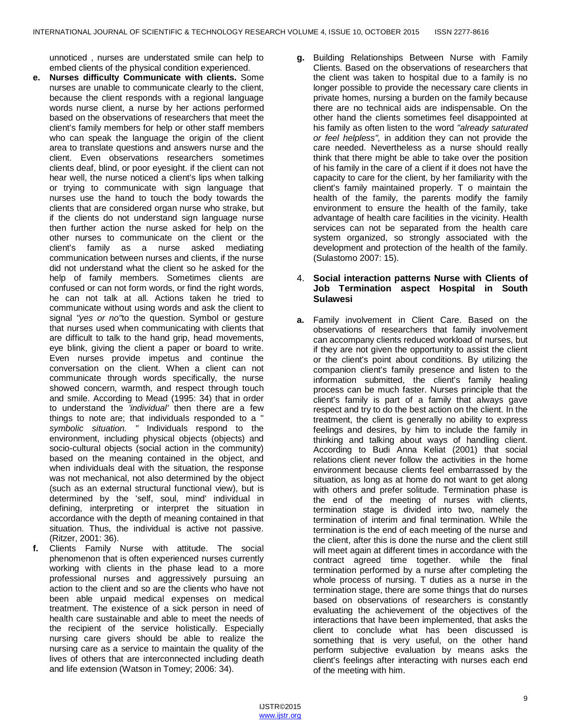unnoticed , nurses are understated smile can help to embed clients of the physical condition experienced.

- **e. Nurses difficulty Communicate with clients.** Some nurses are unable to communicate clearly to the client, because the client responds with a regional language words nurse client, a nurse by her actions performed based on the observations of researchers that meet the client's family members for help or other staff members who can speak the language the origin of the client area to translate questions and answers nurse and the client. Even observations researchers sometimes clients deaf, blind, or poor eyesight. if the client can not hear well, the nurse noticed a client's lips when talking or trying to communicate with sign language that nurses use the hand to touch the body towards the clients that are considered organ nurse who strake, but if the clients do not understand sign language nurse then further action the nurse asked for help on the other nurses to communicate on the client or the client's family as a nurse asked mediating communication between nurses and clients, if the nurse did not understand what the client so he asked for the help of family members. Sometimes clients are confused or can not form words, or find the right words, he can not talk at all. Actions taken he tried to communicate without using words and ask the client to signal *"yes or no"*to the question. Symbol or gesture that nurses used when communicating with clients that are difficult to talk to the hand grip, head movements, eye blink, giving the client a paper or board to write. Even nurses provide impetus and continue the conversation on the client. When a client can not communicate through words specifically, the nurse showed concern, warmth, and respect through touch and smile. According to Mead (1995: 34) that in order to understand the *'individual'* then there are a few things to note are; that individuals responded to a " *symbolic situation. "* Individuals respond to the environment, including physical objects (objects) and socio-cultural objects (social action in the community) based on the meaning contained in the object, and when individuals deal with the situation, the response was not mechanical, not also determined by the object (such as an external structural functional view), but is determined by the 'self, soul, mind' individual in defining, interpreting or interpret the situation in accordance with the depth of meaning contained in that situation. Thus, the individual is active not passive. (Ritzer, 2001: 36).
- **f.** Clients Family Nurse with attitude. The social phenomenon that is often experienced nurses currently working with clients in the phase lead to a more professional nurses and aggressively pursuing an action to the client and so are the clients who have not been able unpaid medical expenses on medical treatment. The existence of a sick person in need of health care sustainable and able to meet the needs of the recipient of the service holistically. Especially nursing care givers should be able to realize the nursing care as a service to maintain the quality of the lives of others that are interconnected including death and life extension (Watson in Tomey; 2006: 34).

**g.** Building Relationships Between Nurse with Family Clients. Based on the observations of researchers that the client was taken to hospital due to a family is no longer possible to provide the necessary care clients in private homes, nursing a burden on the family because there are no technical aids are indispensable. On the other hand the clients sometimes feel disappointed at his family as often listen to the word *"already saturated or feel helpless",* in addition they can not provide the care needed. Nevertheless as a nurse should really think that there might be able to take over the position of his family in the care of a client if it does not have the capacity to care for the client, by her familiarity with the client's family maintained properly. T o maintain the health of the family, the parents modify the family environment to ensure the health of the family, take advantage of health care facilities in the vicinity. Health services can not be separated from the health care system organized, so strongly associated with the development and protection of the health of the family. (Sulastomo 2007: 15).

## 4. **Social interaction patterns Nurse with Clients of Job Termination aspect Hospital in South Sulawesi**

**a.** Family involvement in Client Care. Based on the observations of researchers that family involvement can accompany clients reduced workload of nurses, but if they are not given the opportunity to assist the client or the client's point about conditions. By utilizing the companion client's family presence and listen to the information submitted, the client's family healing process can be much faster. Nurses principle that the client's family is part of a family that always gave respect and try to do the best action on the client. In the treatment, the client is generally no ability to express feelings and desires, by him to include the family in thinking and talking about ways of handling client. According to Budi Anna Keliat (2001) that social relations client never follow the activities in the home environment because clients feel embarrassed by the situation, as long as at home do not want to get along with others and prefer solitude. Termination phase is the end of the meeting of nurses with clients, termination stage is divided into two, namely the termination of interim and final termination. While the termination is the end of each meeting of the nurse and the client, after this is done the nurse and the client still will meet again at different times in accordance with the contract agreed time together. while the final termination performed by a nurse after completing the whole process of nursing. T duties as a nurse in the termination stage, there are some things that do nurses based on observations of researchers is constantly evaluating the achievement of the objectives of the interactions that have been implemented, that asks the client to conclude what has been discussed is something that is very useful, on the other hand perform subjective evaluation by means asks the client's feelings after interacting with nurses each end of the meeting with him.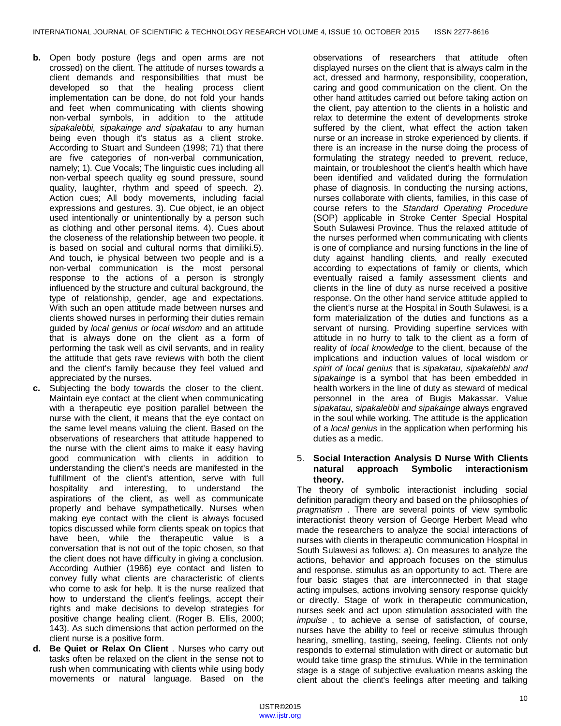- **b.** Open body posture (legs and open arms are not crossed) on the client. The attitude of nurses towards a client demands and responsibilities that must be developed so that the healing process client implementation can be done, do not fold your hands and feet when communicating with clients showing non-verbal symbols, in addition to the attitude *sipakalebbi, sipakainge and sipakatau* to any human being even though it's status as a client stroke. According to Stuart and Sundeen (1998; 71) that there are five categories of non-verbal communication, namely; 1). Cue Vocals; The linguistic cues including all non-verbal speech quality eg sound pressure, sound quality, laughter, rhythm and speed of speech. 2). Action cues; All body movements, including facial expressions and gestures. 3). Cue object, ie an object used intentionally or unintentionally by a person such as clothing and other personal items. 4). Cues about the closeness of the relationship between two people. it is based on social and cultural norms that dimiliki.5). And touch, ie physical between two people and is a non-verbal communication is the most personal response to the actions of a person is strongly influenced by the structure and cultural background, the type of relationship, gender, age and expectations. With such an open attitude made between nurses and clients showed nurses in performing their duties remain guided by *local genius or local wisdom* and an attitude that is always done on the client as a form of performing the task well as civil servants, and in reality the attitude that gets rave reviews with both the client and the client's family because they feel valued and appreciated by the nurses.
- **c.** Subjecting the body towards the closer to the client. Maintain eye contact at the client when communicating with a therapeutic eye position parallel between the nurse with the client, it means that the eye contact on the same level means valuing the client. Based on the observations of researchers that attitude happened to the nurse with the client aims to make it easy having good communication with clients in addition to understanding the client's needs are manifested in the fulfillment of the client's attention, serve with full hospitality and interesting, to understand the aspirations of the client, as well as communicate properly and behave sympathetically. Nurses when making eye contact with the client is always focused topics discussed while form clients speak on topics that have been, while the therapeutic value is a conversation that is not out of the topic chosen, so that the client does not have difficulty in giving a conclusion. According Authier (1986) eye contact and listen to convey fully what clients are characteristic of clients who come to ask for help. It is the nurse realized that how to understand the client's feelings, accept their rights and make decisions to develop strategies for positive change healing client. (Roger B. Ellis, 2000; 143). As such dimensions that action performed on the client nurse is a positive form.
- **d. Be Quiet or Relax On Client** . Nurses who carry out tasks often be relaxed on the client in the sense not to rush when communicating with clients while using body movements or natural language. Based on the

observations of researchers that attitude often displayed nurses on the client that is always calm in the act, dressed and harmony, responsibility, cooperation, caring and good communication on the client. On the other hand attitudes carried out before taking action on the client, pay attention to the clients in a holistic and relax to determine the extent of developments stroke suffered by the client, what effect the action taken nurse or an increase in stroke experienced by clients. if there is an increase in the nurse doing the process of formulating the strategy needed to prevent, reduce, maintain, or troubleshoot the client's health which have been identified and validated during the formulation phase of diagnosis. In conducting the nursing actions, nurses collaborate with clients, families, in this case of course refers to the *Standard Operating Procedure* (SOP) applicable in Stroke Center Special Hospital South Sulawesi Province. Thus the relaxed attitude of the nurses performed when communicating with clients is one of compliance and nursing functions in the line of duty against handling clients, and really executed according to expectations of family or clients, which eventually raised a family assessment clients and clients in the line of duty as nurse received a positive response. On the other hand service attitude applied to the client's nurse at the Hospital in South Sulawesi, is a form materialization of the duties and functions as a servant of nursing. Providing superfine services with attitude in no hurry to talk to the client as a form of reality of *local knowledge* to the client, because of the implications and induction values of local wisdom or *spirit of local genius* that is *sipakatau, sipakalebbi and sipakainge* is a symbol that has been embedded in health workers in the line of duty as steward of medical personnel in the area of Bugis Makassar. Value *sipakatau, sipakalebbi and sipakainge* always engraved in the soul while working. The attitude is the application of a *local genius* in the application when performing his duties as a medic.

#### 5. **Social Interaction Analysis D Nurse With Clients natural approach Symbolic interactionism theory.**

The theory of symbolic interactionist including social definition paradigm theory and based on the philosophies *of pragmatism* . There are several points of view symbolic interactionist theory version of George Herbert Mead who made the researchers to analyze the social interactions of nurses with clients in therapeutic communication Hospital in South Sulawesi as follows: a). On measures to analyze the actions, behavior and approach focuses on the stimulus and response. stimulus as an opportunity to act. There are four basic stages that are interconnected in that stage acting impulses, actions involving sensory response quickly or directly. Stage of work in therapeutic communication, nurses seek and act upon stimulation associated with the *impulse* , to achieve a sense of satisfaction, of course, nurses have the ability to feel or receive stimulus through hearing, smelling, tasting, seeing, feeling. Clients not only responds to external stimulation with direct or automatic but would take time grasp the stimulus. While in the termination stage is a stage of subjective evaluation means asking the client about the client's feelings after meeting and talking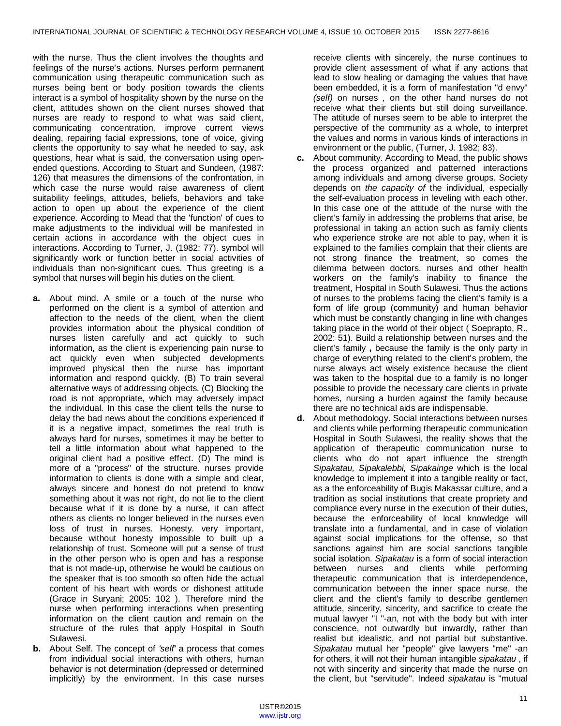with the nurse. Thus the client involves the thoughts and feelings of the nurse's actions. Nurses perform permanent communication using therapeutic communication such as nurses being bent or body position towards the clients interact is a symbol of hospitality shown by the nurse on the client, attitudes shown on the client nurses showed that nurses are ready to respond to what was said client, communicating concentration, improve current views dealing, repairing facial expressions, tone of voice, giving clients the opportunity to say what he needed to say, ask questions, hear what is said, the conversation using openended questions. According to Stuart and Sundeen, (1987: 126) that measures the dimensions of the confrontation, in which case the nurse would raise awareness of client suitability feelings, attitudes, beliefs, behaviors and take action to open up about the experience of the client experience. According to Mead that the 'function' of cues to make adjustments to the individual will be manifested in certain actions in accordance with the object cues in interactions. According to Turner, J. (1982: 77). symbol will significantly work or function better in social activities of individuals than non-significant cues. Thus greeting is a symbol that nurses will begin his duties on the client.

- **a.** About mind. A smile or a touch of the nurse who performed on the client is a symbol of attention and affection to the needs of the client, when the client provides information about the physical condition of nurses listen carefully and act quickly to such information, as the client is experiencing pain nurse to act quickly even when subjected developments improved physical then the nurse has important information and respond quickly. (B) To train several alternative ways of addressing objects. (C) Blocking the road is not appropriate, which may adversely impact the individual. In this case the client tells the nurse to delay the bad news about the conditions experienced if it is a negative impact, sometimes the real truth is always hard for nurses, sometimes it may be better to tell a little information about what happened to the original client had a positive effect. (D) The mind is more of a "process" of the structure. nurses provide information to clients is done with a simple and clear, always sincere and honest do not pretend to know something about it was not right, do not lie to the client because what if it is done by a nurse, it can affect others as clients no longer believed in the nurses even loss of trust in nurses. Honesty. very important, because without honesty impossible to built up a relationship of trust. Someone will put a sense of trust in the other person who is open and has a response that is not made-up, otherwise he would be cautious on the speaker that is too smooth so often hide the actual content of his heart with words or dishonest attitude (Grace in Suryani; 2005: 102 ). Therefore mind the nurse when performing interactions when presenting information on the client caution and remain on the structure of the rules that apply Hospital in South Sulawesi.
- **b.** About Self. The concept of *'self'* a process that comes from individual social interactions with others, human behavior is not determination (depressed or determined implicitly) by the environment. In this case nurses

receive clients with sincerely, the nurse continues to provide client assessment of what if any actions that lead to slow healing or damaging the values that have been embedded, it is a form of manifestation "d envy" *(self)* on nurses *,* on the other hand nurses do not receive what their clients but still doing surveillance. The attitude of nurses seem to be able to interpret the perspective of the community as a whole, to interpret the values and norms in various kinds of interactions in environment or the public, (Turner, J. 1982; 83).

- **c.** About community. According to Mead, the public shows the process organized and patterned interactions among individuals and among diverse groups. Society depends on *the capacity of* the individual, especially the self-evaluation process in leveling with each other. In this case one of the attitude of the nurse with the client's family in addressing the problems that arise, be professional in taking an action such as family clients who experience stroke are not able to pay, when it is explained to the families complain that their clients are not strong finance the treatment, so comes the dilemma between doctors, nurses and other health workers on the family's inability to finance the treatment, Hospital in South Sulawesi. Thus the actions of nurses to the problems facing the client's family is a form of life group (community) and human behavior which must be constantly changing in line with changes taking place in the world of their object ( Soeprapto, R., 2002: 51). Build a relationship between nurses and the client's family **,** because the family is the only party in charge of everything related to the client's problem, the nurse always act wisely existence because the client was taken to the hospital due to a family is no longer possible to provide the necessary care clients in private homes, nursing a burden against the family because there are no technical aids are indispensable.
- **d.** About methodology. Social interactions between nurses and clients while performing therapeutic communication Hospital in South Sulawesi, the reality shows that the application of therapeutic communication nurse to clients who do not apart influence the strength *Sipakatau, Sipakalebbi, Sipakainge* which is the local knowledge to implement it into a tangible reality or fact, as a the enforceability of Bugis Makassar culture, and a tradition as social institutions that create propriety and compliance every nurse in the execution of their duties, because the enforceability of local knowledge will translate into a fundamental, and in case of violation against social implications for the offense, so that sanctions against him are social sanctions tangible social isolation. *Sipakatau* is a form of social interaction between nurses and clients while performing therapeutic communication that is interdependence, communication between the inner space nurse, the client and the client's family to describe gentlemen attitude, sincerity, sincerity, and sacrifice to create the mutual lawyer "I "-an, not with the body but with inter conscience, not outwardly but inwardly, rather than realist but idealistic, and not partial but substantive. *Sipakatau* mutual her "people" give lawyers "me" -an for others, it will not their human intangible *sipakatau* , if not with sincerity and sincerity that made the nurse on the client, but "servitude". Indeed *sipakatau* is "mutual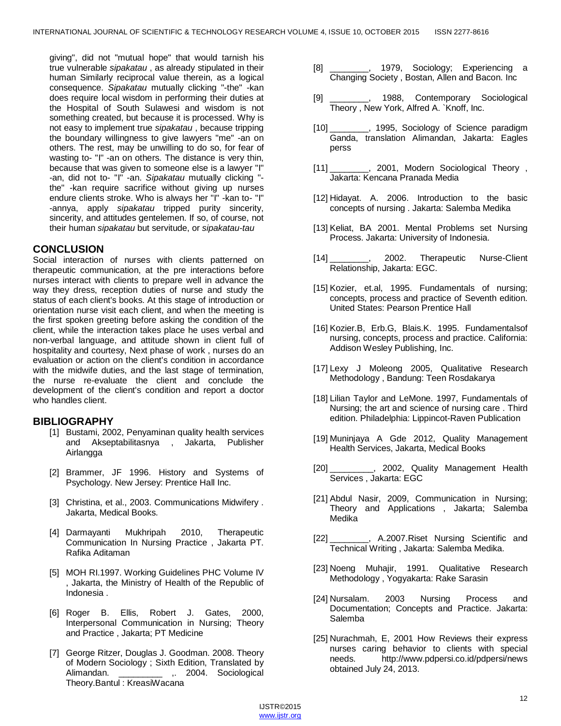giving", did not "mutual hope" that would tarnish his true vulnerable *sipakatau* , as already stipulated in their human Similarly reciprocal value therein, as a logical consequence. *Sipakatau* mutually clicking "-the" -kan does require local wisdom in performing their duties at the Hospital of South Sulawesi and wisdom is not something created, but because it is processed. Why is not easy to implement true *sipakatau* , because tripping the boundary willingness to give lawyers "me" -an on others. The rest, may be unwilling to do so, for fear of wasting to- "I" -an on others. The distance is very thin, because that was given to someone else is a lawyer "I" -an, did not to- "I" -an. *Sipakatau* mutually clicking " the" -kan require sacrifice without giving up nurses endure clients stroke. Who is always her "I" -kan to- "I" -annya, apply *sipakatau* tripped purity sincerity, sincerity, and attitudes gentelemen. If so, of course, not their human *sipakatau* but servitude, or *sipakatau-tau*

# **CONCLUSION**

Social interaction of nurses with clients patterned on therapeutic communication, at the pre interactions before nurses interact with clients to prepare well in advance the way they dress, reception duties of nurse and study the status of each client's books. At this stage of introduction or orientation nurse visit each client, and when the meeting is the first spoken greeting before asking the condition of the client, while the interaction takes place he uses verbal and non-verbal language, and attitude shown in client full of hospitality and courtesy, Next phase of work , nurses do an evaluation or action on the client's condition in accordance with the midwife duties, and the last stage of termination. the nurse re-evaluate the client and conclude the development of the client's condition and report a doctor who handles client.

# **BIBLIOGRAPHY**

- [1] Bustami, 2002, Penyaminan quality health services and Akseptabilitasnya , Jakarta, Publisher Airlangga
- [2] Brammer, JF 1996. History and Systems of Psychology. New Jersey: Prentice Hall Inc.
- [3] Christina, et al., 2003. Communications Midwifery. Jakarta, Medical Books.
- [4] Darmayanti Mukhripah 2010, Therapeutic Communication In Nursing Practice , Jakarta PT. Rafika Aditaman
- [5] MOH RI.1997. Working Guidelines PHC Volume IV , Jakarta, the Ministry of Health of the [Republic](https://translate.google.com/translate?hl=id&prev=_t&sl=id&tl=en&u=http://blogperawat.com/kebijakan-galau-pemerintah-ri-di-bidang-kesehatan/) of [Indonesia](https://translate.google.com/translate?hl=id&prev=_t&sl=id&tl=en&u=http://blogperawat.com/kebijakan-galau-pemerintah-ri-di-bidang-kesehatan/) .
- [6] Roger B. Ellis, Robert J. Gates, 2000, Interpersonal Communication in Nursing; Theory and Practice , Jakarta; PT Medicine
- [7] George Ritzer, Douglas J. Goodman. 2008. Theory of Modern Sociology ; Sixth Edition, Translated by Alimandan. \_\_\_\_\_\_\_\_\_\_\_\_\_\_ ,. 2004. Sociological Theory.Bantul : KreasiWacana
- [8] \_\_\_\_\_\_\_\_, 1979, Sociology; Experiencing a Changing Society , Bostan, Allen and Bacon. Inc
- ., 1988, Contemporary Sociological Theory , New York, Alfred A. `Knoff, Inc.
- [10] The resolution of Science paradigm Ganda, translation Alimandan, Jakarta: Eagles perss
- [11] \_\_\_\_\_\_\_\_\_, 2001, Modern Sociological Theory, Jakarta: Kencana Pranada Media
- [12] Hidayat. A. 2006. Introduction to the basic concepts of nursing . Jakarta: Salemba Medika
- [13] Keliat, BA 2001. Mental Problems set Nursing Process. Jakarta: University of Indonesia.
- [14] \_\_\_\_\_\_\_\_\_, 2002. Therapeutic Nurse-Client Relationship, Jakarta: EGC.
- [15] Kozier, et.al, 1995. Fundamentals of nursing; concepts, process and practice of Seventh edition. United States: Pearson Prentice Hall
- [16] Kozier.B, Erb.G, Blais.K. 1995. Fundamentalsof nursing, concepts, process and practice. California: Addison Wesley Publishing, Inc.
- [17] Lexy J Moleong 2005, Qualitative Research Methodology , Bandung: Teen Rosdakarya
- [18] Lilian Taylor and LeMone. 1997, Fundamentals of Nursing; the art and science of nursing care . Third edition. Philadelphia: Lippincot-Raven Publication
- [19] Muninjaya A Gde 2012, Quality Management Health Services, Jakarta, Medical Books
- [20] \_\_\_\_\_\_\_\_\_, 2002, Quality Management Health Services , Jakarta: EGC
- [21] Abdul Nasir, 2009, Communication in Nursing; Theory and Applications , Jakarta; Salemba Medika
- [22] \_\_\_\_\_\_\_\_, A.2007. Riset Nursing Scientific and Technical Writing , Jakarta: Salemba Medika.
- [23] Noeng Muhajir, 1991. Qualitative Research Methodology , Yogyakarta: Rake Sarasin
- [24] Nursalam. 2003 Nursing Process and Documentation; Concepts and Practice. Jakarta: Salemba
- [25] Nurachmah, E, 2001 How Reviews their express nurses caring behavior to clients with special needs. [http://www.pdpersi.co.id/pdpersi/news](https://translate.google.com/translate?hl=id&prev=_t&sl=id&tl=en&u=http://www.pdpersi.co.id/pdpersi/news) obtained July 24, 2013.